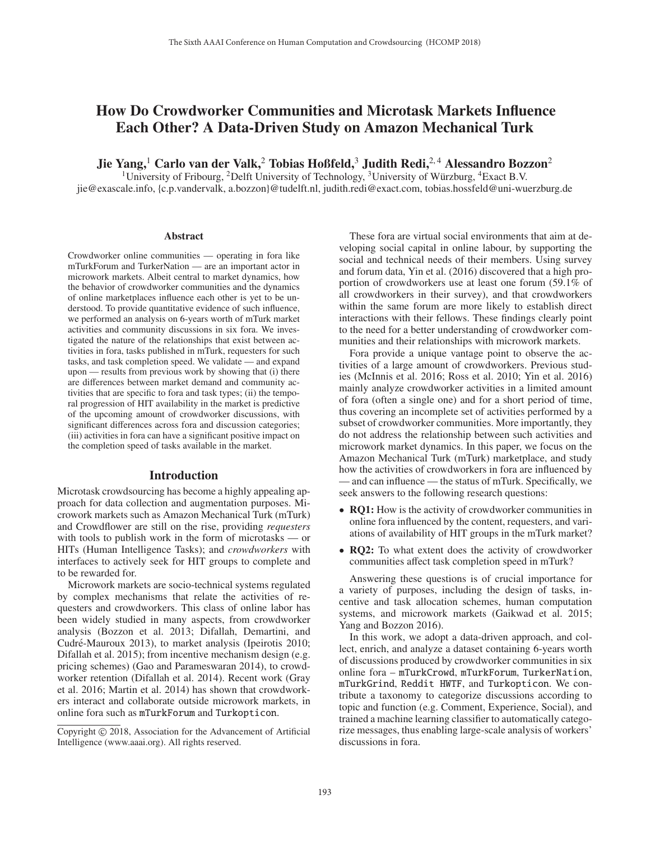# How Do Crowdworker Communities and Microtask Markets Influence Each Other? A Data-Driven Study on Amazon Mechanical Turk

Jie Yang,<sup>1</sup> Carlo van der Valk,<sup>2</sup> Tobias Hoßfeld,<sup>3</sup> Judith Redi,<sup>2,4</sup> Alessandro Bozzon<sup>2</sup>

<sup>1</sup>University of Fribourg, <sup>2</sup>Delft University of Technology, <sup>3</sup>University of Würzburg, <sup>4</sup>Exact B.V. jie@exascale.info, {c.p.vandervalk, a.bozzon}@tudelft.nl, judith.redi@exact.com, tobias.hossfeld@uni-wuerzburg.de

#### Abstract

Crowdworker online communities — operating in fora like mTurkForum and TurkerNation — are an important actor in microwork markets. Albeit central to market dynamics, how the behavior of crowdworker communities and the dynamics of online marketplaces influence each other is yet to be understood. To provide quantitative evidence of such influence, we performed an analysis on 6-years worth of mTurk market activities and community discussions in six fora. We investigated the nature of the relationships that exist between activities in fora, tasks published in mTurk, requesters for such tasks, and task completion speed. We validate — and expand upon — results from previous work by showing that (i) there are differences between market demand and community activities that are specific to fora and task types; (ii) the temporal progression of HIT availability in the market is predictive of the upcoming amount of crowdworker discussions, with significant differences across fora and discussion categories; (iii) activities in fora can have a significant positive impact on the completion speed of tasks available in the market.

#### Introduction

Microtask crowdsourcing has become a highly appealing approach for data collection and augmentation purposes. Microwork markets such as Amazon Mechanical Turk (mTurk) and Crowdflower are still on the rise, providing *requesters* with tools to publish work in the form of microtasks — or HITs (Human Intelligence Tasks); and *crowdworkers* with interfaces to actively seek for HIT groups to complete and to be rewarded for.

Microwork markets are socio-technical systems regulated by complex mechanisms that relate the activities of requesters and crowdworkers. This class of online labor has been widely studied in many aspects, from crowdworker analysis (Bozzon et al. 2013; Difallah, Demartini, and Cudré-Mauroux 2013), to market analysis (Ipeirotis 2010; Difallah et al. 2015); from incentive mechanism design (e.g. pricing schemes) (Gao and Parameswaran 2014), to crowdworker retention (Difallah et al. 2014). Recent work (Gray et al. 2016; Martin et al. 2014) has shown that crowdworkers interact and collaborate outside microwork markets, in online fora such as mTurkForum and Turkopticon.

These fora are virtual social environments that aim at developing social capital in online labour, by supporting the social and technical needs of their members. Using survey and forum data, Yin et al. (2016) discovered that a high proportion of crowdworkers use at least one forum (59.1% of all crowdworkers in their survey), and that crowdworkers within the same forum are more likely to establish direct interactions with their fellows. These findings clearly point to the need for a better understanding of crowdworker communities and their relationships with microwork markets.

Fora provide a unique vantage point to observe the activities of a large amount of crowdworkers. Previous studies (McInnis et al. 2016; Ross et al. 2010; Yin et al. 2016) mainly analyze crowdworker activities in a limited amount of fora (often a single one) and for a short period of time, thus covering an incomplete set of activities performed by a subset of crowdworker communities. More importantly, they do not address the relationship between such activities and microwork market dynamics. In this paper, we focus on the Amazon Mechanical Turk (mTurk) marketplace, and study how the activities of crowdworkers in fora are influenced by — and can influence — the status of mTurk. Specifically, we seek answers to the following research questions:

- **RO1:** How is the activity of crowdworker communities in online fora influenced by the content, requesters, and variations of availability of HIT groups in the mTurk market?
- RQ2: To what extent does the activity of crowdworker communities affect task completion speed in mTurk?

Answering these questions is of crucial importance for a variety of purposes, including the design of tasks, incentive and task allocation schemes, human computation systems, and microwork markets (Gaikwad et al. 2015; Yang and Bozzon 2016).

In this work, we adopt a data-driven approach, and collect, enrich, and analyze a dataset containing 6-years worth of discussions produced by crowdworker communities in six online fora – mTurkCrowd, mTurkForum, TurkerNation, mTurkGrind, Reddit HWTF, and Turkopticon. We contribute a taxonomy to categorize discussions according to topic and function (e.g. Comment, Experience, Social), and trained a machine learning classifier to automatically categorize messages, thus enabling large-scale analysis of workers' discussions in fora.

Copyright © 2018, Association for the Advancement of Artificial Intelligence (www.aaai.org). All rights reserved.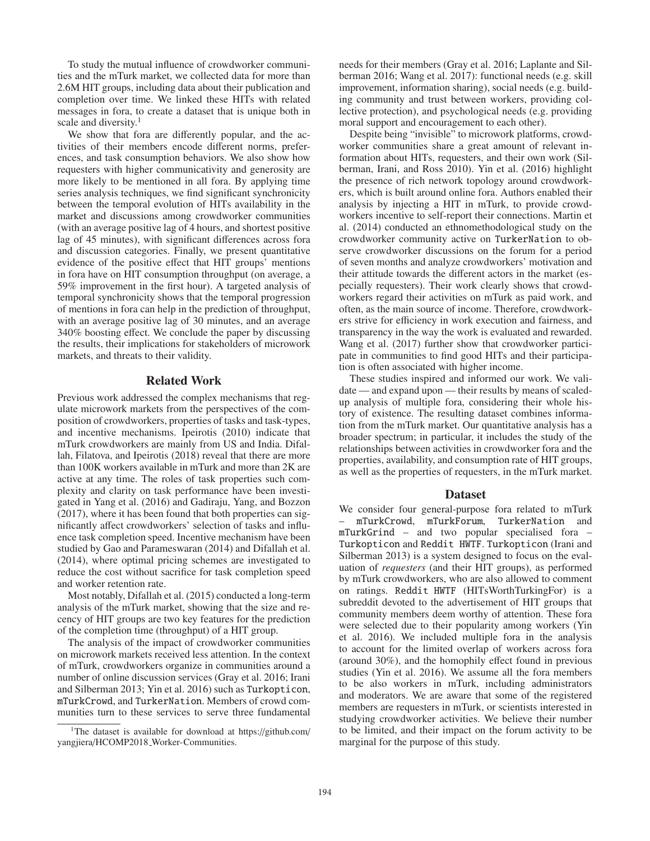To study the mutual influence of crowdworker communities and the mTurk market, we collected data for more than 2.6M HIT groups, including data about their publication and completion over time. We linked these HITs with related messages in fora, to create a dataset that is unique both in scale and diversity.<sup>1</sup>

We show that fora are differently popular, and the activities of their members encode different norms, preferences, and task consumption behaviors. We also show how requesters with higher communicativity and generosity are more likely to be mentioned in all fora. By applying time series analysis techniques, we find significant synchronicity between the temporal evolution of HITs availability in the market and discussions among crowdworker communities (with an average positive lag of 4 hours, and shortest positive lag of 45 minutes), with significant differences across fora and discussion categories. Finally, we present quantitative evidence of the positive effect that HIT groups' mentions in fora have on HIT consumption throughput (on average, a 59% improvement in the first hour). A targeted analysis of temporal synchronicity shows that the temporal progression of mentions in fora can help in the prediction of throughput, with an average positive lag of 30 minutes, and an average 340% boosting effect. We conclude the paper by discussing the results, their implications for stakeholders of microwork markets, and threats to their validity.

#### Related Work

Previous work addressed the complex mechanisms that regulate microwork markets from the perspectives of the composition of crowdworkers, properties of tasks and task-types, and incentive mechanisms. Ipeirotis (2010) indicate that mTurk crowdworkers are mainly from US and India. Difallah, Filatova, and Ipeirotis (2018) reveal that there are more than 100K workers available in mTurk and more than 2K are active at any time. The roles of task properties such complexity and clarity on task performance have been investigated in Yang et al. (2016) and Gadiraju, Yang, and Bozzon (2017), where it has been found that both properties can significantly affect crowdworkers' selection of tasks and influence task completion speed. Incentive mechanism have been studied by Gao and Parameswaran (2014) and Difallah et al. (2014), where optimal pricing schemes are investigated to reduce the cost without sacrifice for task completion speed and worker retention rate.

Most notably, Difallah et al. (2015) conducted a long-term analysis of the mTurk market, showing that the size and recency of HIT groups are two key features for the prediction of the completion time (throughput) of a HIT group.

The analysis of the impact of crowdworker communities on microwork markets received less attention. In the context of mTurk, crowdworkers organize in communities around a number of online discussion services (Gray et al. 2016; Irani and Silberman 2013; Yin et al. 2016) such as Turkopticon, mTurkCrowd, and TurkerNation. Members of crowd communities turn to these services to serve three fundamental

needs for their members (Gray et al. 2016; Laplante and Silberman 2016; Wang et al. 2017): functional needs (e.g. skill improvement, information sharing), social needs (e.g. building community and trust between workers, providing collective protection), and psychological needs (e.g. providing moral support and encouragement to each other).

Despite being "invisible" to microwork platforms, crowdworker communities share a great amount of relevant information about HITs, requesters, and their own work (Silberman, Irani, and Ross 2010). Yin et al. (2016) highlight the presence of rich network topology around crowdworkers, which is built around online fora. Authors enabled their analysis by injecting a HIT in mTurk, to provide crowdworkers incentive to self-report their connections. Martin et al. (2014) conducted an ethnomethodological study on the crowdworker community active on TurkerNation to observe crowdworker discussions on the forum for a period of seven months and analyze crowdworkers' motivation and their attitude towards the different actors in the market (especially requesters). Their work clearly shows that crowdworkers regard their activities on mTurk as paid work, and often, as the main source of income. Therefore, crowdworkers strive for efficiency in work execution and fairness, and transparency in the way the work is evaluated and rewarded. Wang et al. (2017) further show that crowdworker participate in communities to find good HITs and their participation is often associated with higher income.

These studies inspired and informed our work. We validate — and expand upon — their results by means of scaledup analysis of multiple fora, considering their whole history of existence. The resulting dataset combines information from the mTurk market. Our quantitative analysis has a broader spectrum; in particular, it includes the study of the relationships between activities in crowdworker fora and the properties, availability, and consumption rate of HIT groups, as well as the properties of requesters, in the mTurk market.

#### Dataset

We consider four general-purpose fora related to mTurk – mTurkCrowd, mTurkForum, TurkerNation and mTurkGrind – and two popular specialised fora – Turkopticon and Reddit HWTF. Turkopticon (Irani and Silberman 2013) is a system designed to focus on the evaluation of *requesters* (and their HIT groups), as performed by mTurk crowdworkers, who are also allowed to comment on ratings. Reddit HWTF (HITsWorthTurkingFor) is a subreddit devoted to the advertisement of HIT groups that community members deem worthy of attention. These fora were selected due to their popularity among workers (Yin et al. 2016). We included multiple fora in the analysis to account for the limited overlap of workers across fora (around 30%), and the homophily effect found in previous studies (Yin et al. 2016). We assume all the fora members to be also workers in mTurk, including administrators and moderators. We are aware that some of the registered members are requesters in mTurk, or scientists interested in studying crowdworker activities. We believe their number to be limited, and their impact on the forum activity to be marginal for the purpose of this study.

<sup>&</sup>lt;sup>1</sup>The dataset is available for download at https://github.com/ yangjiera/HCOMP2018 Worker-Communities.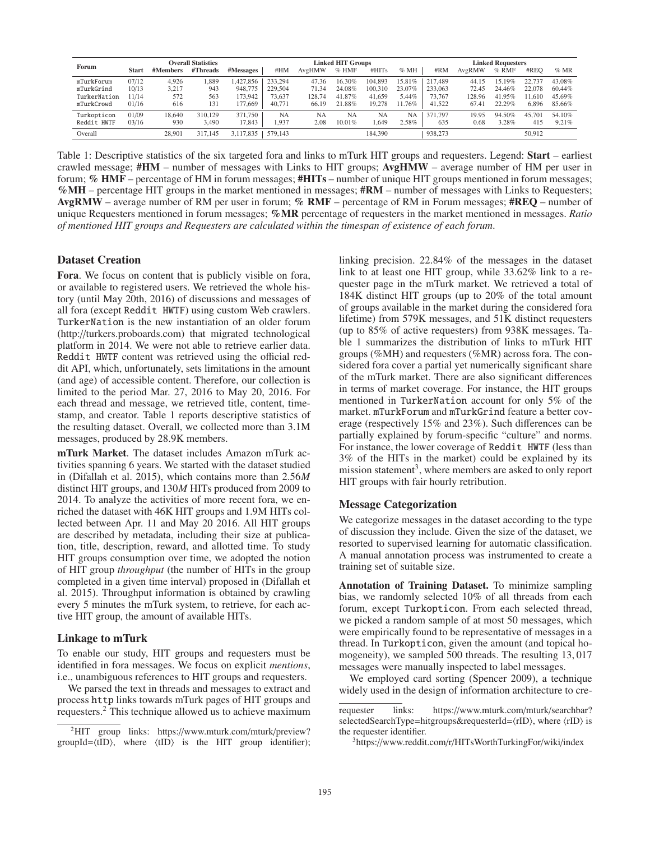| Forum        | <b>Overall Statistics</b> |          |          |           | <b>Linked HIT Groups</b> |        |         |         | <b>Linked Requesters</b> |         |               |         |        |        |
|--------------|---------------------------|----------|----------|-----------|--------------------------|--------|---------|---------|--------------------------|---------|---------------|---------|--------|--------|
|              | Start                     | #Members | #Threads | #Messages | #HM                      | AvgHMW | $%$ HMF | #HITs   | $\%$ MH                  | #RM     | <b>AvgRMW</b> | $%$ RMF | #REO   | $%$ MR |
| mTurkForum   | 07/12                     | 4.926    | .389     | 1.427.856 | 233.294                  | 47.36  | 16.30%  | 104,893 | 15.81%                   | 217,489 | 44.15         | 15.19%  | 22,737 | 43.08% |
| mTurkGrind   | 10/13                     | 3.217    | 943      | 948,775   | 229,504                  | 71.34  | 24.08%  | 100,310 | 23.07%                   | 233,063 | 72.45         | 24.46%  | 22,078 | 60.44% |
| TurkerNation | 1/14                      | 572      | 563      | 173,942   | 73.637                   | 128.74 | 41.87%  | 41,659  | 5.44%                    | 73,767  | 128.96        | 41.95%  | 11.610 | 45.69% |
| mTurkCrowd   | 01/16                     | 616      | 131      | 177.669   | 40,771                   | 66.19  | 21.88%  | 19.278  | .76%<br>11.              | 41.522  | 67.41         | 22.29%  | 6.896  | 85.66% |
| Turkopticon  | 01/09                     | 18,640   | 310,129  | 371,750   | <b>NA</b>                | NA     | NА      | NA      | NΑ                       | 371,797 | 19.95         | 94.50%  | 45.70  | 54.10% |
| Reddit HWTF  | 03/16                     | 930      | 3,490    | 17,843    | 1.937                    | 2.08   | 10.01%  | .649    | 2.58%                    | 635     | 0.68          | 3.28%   | 415    | 9.21%  |
| Overall      |                           | 28.901   | 317.145  | 3,117,835 | 579.143                  |        |         | 184.390 |                          | 938,273 |               |         | 50.912 |        |

Table 1: Descriptive statistics of the six targeted fora and links to mTurk HIT groups and requesters. Legend: Start – earliest crawled message; #HM – number of messages with Links to HIT groups; AvgHMW – average number of HM per user in forum; % HMF – percentage of HM in forum messages; #HITs – number of unique HIT groups mentioned in forum messages;  $\%$ MH – percentage HIT groups in the market mentioned in messages;  $\#RM$  – number of messages with Links to Requesters; AvgRMW – average number of RM per user in forum; % RMF – percentage of RM in Forum messages; #REQ – number of unique Requesters mentioned in forum messages; %MR percentage of requesters in the market mentioned in messages. *Ratio of mentioned HIT groups and Requesters are calculated within the timespan of existence of each forum*.

## Dataset Creation

Fora. We focus on content that is publicly visible on fora, or available to registered users. We retrieved the whole history (until May 20th, 2016) of discussions and messages of all fora (except Reddit HWTF) using custom Web crawlers. TurkerNation is the new instantiation of an older forum (http://turkers.proboards.com) that migrated technological platform in 2014. We were not able to retrieve earlier data. Reddit HWTF content was retrieved using the official reddit API, which, unfortunately, sets limitations in the amount (and age) of accessible content. Therefore, our collection is limited to the period Mar. 27, 2016 to May 20, 2016. For each thread and message, we retrieved title, content, timestamp, and creator. Table 1 reports descriptive statistics of the resulting dataset. Overall, we collected more than 3.1M messages, produced by 28.9K members.

mTurk Market. The dataset includes Amazon mTurk activities spanning 6 years. We started with the dataset studied in (Difallah et al. 2015), which contains more than 2.56*M* distinct HIT groups, and 130*M* HITs produced from 2009 to 2014. To analyze the activities of more recent fora, we enriched the dataset with 46K HIT groups and 1.9M HITs collected between Apr. 11 and May 20 2016. All HIT groups are described by metadata, including their size at publication, title, description, reward, and allotted time. To study HIT groups consumption over time, we adopted the notion of HIT group *throughput* (the number of HITs in the group completed in a given time interval) proposed in (Difallah et al. 2015). Throughput information is obtained by crawling every 5 minutes the mTurk system, to retrieve, for each active HIT group, the amount of available HITs.

## Linkage to mTurk

To enable our study, HIT groups and requesters must be identified in fora messages. We focus on explicit *mentions*, i.e., unambiguous references to HIT groups and requesters.

We parsed the text in threads and messages to extract and process http links towards mTurk pages of HIT groups and requesters.2 This technique allowed us to achieve maximum

linking precision. 22.84% of the messages in the dataset link to at least one HIT group, while 33.62% link to a requester page in the mTurk market. We retrieved a total of 184K distinct HIT groups (up to 20% of the total amount of groups available in the market during the considered fora lifetime) from 579K messages, and 51K distinct requesters (up to 85% of active requesters) from 938K messages. Table 1 summarizes the distribution of links to mTurk HIT groups (%MH) and requesters (%MR) across fora. The considered fora cover a partial yet numerically significant share of the mTurk market. There are also significant differences in terms of market coverage. For instance, the HIT groups mentioned in TurkerNation account for only 5% of the market. mTurkForum and mTurkGrind feature a better coverage (respectively 15% and 23%). Such differences can be partially explained by forum-specific "culture" and norms. For instance, the lower coverage of Reddit HWTF (less than 3% of the HITs in the market) could be explained by its mission statement<sup>3</sup>, where members are asked to only report HIT groups with fair hourly retribution.

## Message Categorization

We categorize messages in the dataset according to the type of discussion they include. Given the size of the dataset, we resorted to supervised learning for automatic classification. A manual annotation process was instrumented to create a training set of suitable size.

Annotation of Training Dataset. To minimize sampling bias, we randomly selected 10% of all threads from each forum, except Turkopticon. From each selected thread, we picked a random sample of at most 50 messages, which were empirically found to be representative of messages in a thread. In Turkopticon, given the amount (and topical homogeneity), we sampled 500 threads. The resulting 13, 017 messages were manually inspected to label messages.

We employed card sorting (Spencer 2009), a technique widely used in the design of information architecture to cre-

<sup>2</sup>HIT group links: https://www.mturk.com/mturk/preview? groupId= $\langle tID \rangle$ , where  $\langle tID \rangle$  is the HIT group identifier);

requester links: https://www.mturk.com/mturk/searchbar? selectedSearchType=hitgroups&requesterId= $\langle rID \rangle$ , where  $\langle rID \rangle$  is the requester identifier.

<sup>3</sup>https://www.reddit.com/r/HITsWorthTurkingFor/wiki/index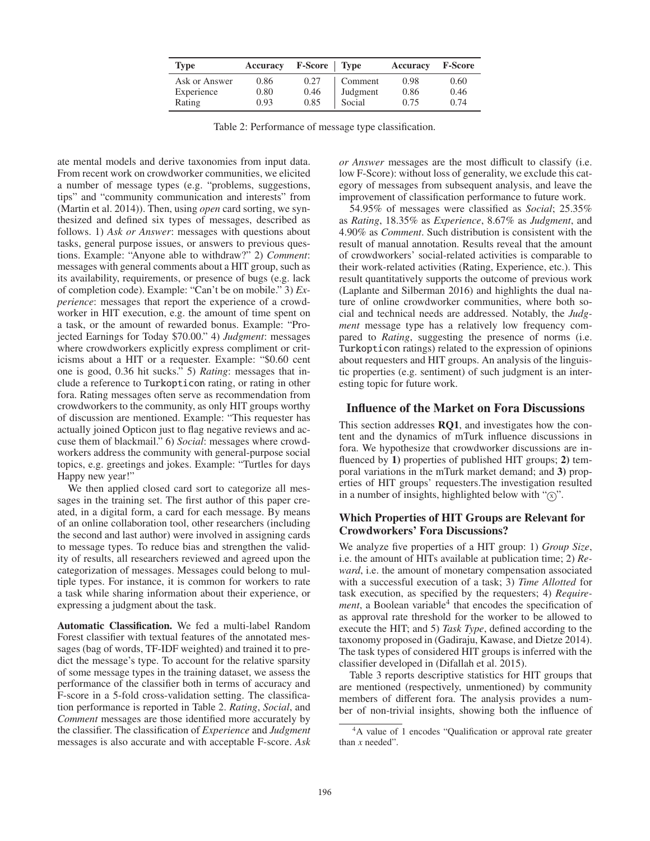| <b>Type</b>   | Accuracy | <b>F-Score</b>   Type |          | Accuracy | <b>F-Score</b> |
|---------------|----------|-----------------------|----------|----------|----------------|
| Ask or Answer | 0.86     | 0.27                  | Comment  | 0.98     | 0.60           |
| Experience    | 0.80     | 0.46                  | Judgment | 0.86     | 0.46           |
| Rating        | 0.93     | 0.85                  | Social   | 0.75     | 0.74           |

| Table 2: Performance of message type classification. |  |  |  |
|------------------------------------------------------|--|--|--|
|------------------------------------------------------|--|--|--|

ate mental models and derive taxonomies from input data. From recent work on crowdworker communities, we elicited a number of message types (e.g. "problems, suggestions, tips" and "community communication and interests" from (Martin et al. 2014)). Then, using *open* card sorting, we synthesized and defined six types of messages, described as follows. 1) *Ask or Answer*: messages with questions about tasks, general purpose issues, or answers to previous questions. Example: "Anyone able to withdraw?" 2) *Comment*: messages with general comments about a HIT group, such as its availability, requirements, or presence of bugs (e.g. lack of completion code). Example: "Can't be on mobile." 3) *Experience*: messages that report the experience of a crowdworker in HIT execution, e.g. the amount of time spent on a task, or the amount of rewarded bonus. Example: "Projected Earnings for Today \$70.00." 4) *Judgment*: messages where crowdworkers explicitly express compliment or criticisms about a HIT or a requester. Example: "\$0.60 cent one is good, 0.36 hit sucks." 5) *Rating*: messages that include a reference to Turkopticon rating, or rating in other fora. Rating messages often serve as recommendation from crowdworkers to the community, as only HIT groups worthy of discussion are mentioned. Example: "This requester has actually joined Opticon just to flag negative reviews and accuse them of blackmail." 6) *Social*: messages where crowdworkers address the community with general-purpose social topics, e.g. greetings and jokes. Example: "Turtles for days Happy new year!"

We then applied closed card sort to categorize all messages in the training set. The first author of this paper created, in a digital form, a card for each message. By means of an online collaboration tool, other researchers (including the second and last author) were involved in assigning cards to message types. To reduce bias and strengthen the validity of results, all researchers reviewed and agreed upon the categorization of messages. Messages could belong to multiple types. For instance, it is common for workers to rate a task while sharing information about their experience, or expressing a judgment about the task.

Automatic Classification. We fed a multi-label Random Forest classifier with textual features of the annotated messages (bag of words, TF-IDF weighted) and trained it to predict the message's type. To account for the relative sparsity of some message types in the training dataset, we assess the performance of the classifier both in terms of accuracy and F-score in a 5-fold cross-validation setting. The classification performance is reported in Table 2. *Rating*, *Social*, and *Comment* messages are those identified more accurately by the classifier. The classification of *Experience* and *Judgment* messages is also accurate and with acceptable F-score. *Ask*

*or Answer* messages are the most difficult to classify (i.e. low F-Score): without loss of generality, we exclude this category of messages from subsequent analysis, and leave the improvement of classification performance to future work.

54.95% of messages were classified as *Social*; 25.35% as *Rating*, 18.35% as *Experience*, 8.67% as *Judgment*, and 4.90% as *Comment*. Such distribution is consistent with the result of manual annotation. Results reveal that the amount of crowdworkers' social-related activities is comparable to their work-related activities (Rating, Experience, etc.). This result quantitatively supports the outcome of previous work (Laplante and Silberman 2016) and highlights the dual nature of online crowdworker communities, where both social and technical needs are addressed. Notably, the *Judgment* message type has a relatively low frequency compared to *Rating*, suggesting the presence of norms (i.e. Turkopticon ratings) related to the expression of opinions about requesters and HIT groups. An analysis of the linguistic properties (e.g. sentiment) of such judgment is an interesting topic for future work.

## Influence of the Market on Fora Discussions

This section addresses RQ1, and investigates how the content and the dynamics of mTurk influence discussions in fora. We hypothesize that crowdworker discussions are influenced by 1) properties of published HIT groups; 2) temporal variations in the mTurk market demand; and 3) properties of HIT groups' requesters.The investigation resulted in a number of insights, highlighted below with " $(\bar{x})$ ".

## Which Properties of HIT Groups are Relevant for Crowdworkers' Fora Discussions?

We analyze five properties of a HIT group: 1) *Group Size*, i.e. the amount of HITs available at publication time; 2) *Reward*, i.e. the amount of monetary compensation associated with a successful execution of a task; 3) *Time Allotted* for task execution, as specified by the requesters; 4) *Requirement*, a Boolean variable<sup>4</sup> that encodes the specification of as approval rate threshold for the worker to be allowed to execute the HIT; and 5) *Task Type*, defined according to the taxonomy proposed in (Gadiraju, Kawase, and Dietze 2014). The task types of considered HIT groups is inferred with the classifier developed in (Difallah et al. 2015).

Table 3 reports descriptive statistics for HIT groups that are mentioned (respectively, unmentioned) by community members of different fora. The analysis provides a number of non-trivial insights, showing both the influence of

<sup>4</sup>A value of 1 encodes "Qualification or approval rate greater than *x* needed".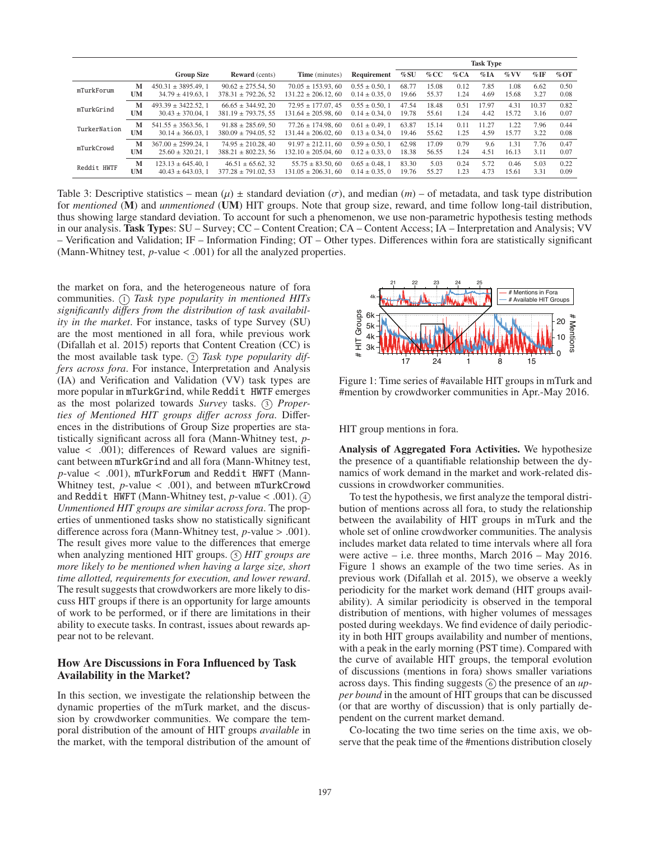|              |    |                          |                          |                         |                     | <b>Task Type</b> |       |      |         |                 |         |        |
|--------------|----|--------------------------|--------------------------|-------------------------|---------------------|------------------|-------|------|---------|-----------------|---------|--------|
|              |    | <b>Group Size</b>        | <b>Reward</b> (cents)    | Time (minutes)          | Requirement         | %SU              | %CC   | %CA  | $\%$ IA | $\%\mathrm{VV}$ | $\%$ IF | $%$ OT |
| mTurkForum   | M  | $450.31 \pm 3895.49$ . 1 | $90.62 \pm 275.54.50$    | $70.05 \pm 153.93, 60$  | $0.55 \pm 0.50$ , 1 | 68.77            | 15.08 | 0.12 | 7.85    | 1.08            | 6.62    | 0.50   |
|              | UM | $34.79 \pm 419.63$ , 1   | $378.31 \pm 792.26, 52$  | $131.22 \pm 206.12, 60$ | $0.14 \pm 0.35$ , 0 | 19.66            | 55.37 | 1.24 | 4.69    | 15.68           | 3.27    | 0.08   |
| mTurkGrind   | M  | $493.39 \pm 3422.52$ , 1 | $66.65 \pm 344.92$ , 20  | $72.95 \pm 177.07.45$   | $0.55 \pm 0.50$ , 1 | 47.54            | 18.48 | 0.51 | 17.97   | 4.31            | 10.37   | 0.82   |
|              | UM | $30.43 \pm 370.04$ , 1   | $381.19 \pm 793.75.55$   | $131.64 \pm 205.98, 60$ | $0.14 \pm 0.34$ , 0 | 19.78            | 55.61 | 1.24 | 4.42    | 15.72           | 3.16    | 0.07   |
| TurkerNation | M  | $541.55 \pm 3563.56$ , 1 | $91.88 \pm 285.69$ , 50  | $77.26 \pm 174.98,60$   | $0.61 \pm 0.49$ , 1 | 63.87            | 15.14 | 0.11 | 11.27   | 1.22            | 7.96    | 0.44   |
|              | UM | $30.14 \pm 366.03$ , 1   | $380.09 \pm 794.05$ , 52 | $131.44 \pm 206.02, 60$ | $0.13 \pm 0.34$ , 0 | 19.46            | 55.62 | 1.25 | 4.59    | 15.77           | 3.22    | 0.08   |
| mTurkCrowd   | M  | $367.00 \pm 2599.24$ , 1 | $74.95 \pm 210.28$ , 40  | $91.97 \pm 212.11,60$   | $0.59 \pm 0.50$ , 1 | 62.98            | 17.09 | 0.79 | 9.6     | 1.31            | 7.76    | 0.47   |
|              | UM | $25.60 \pm 320.21$ , 1   | $388.21 \pm 802.23$ , 56 | $132.10 \pm 205.04.60$  | $0.12 \pm 0.33$ , 0 | 18.38            | 56.55 | 1.24 | 4.51    | 16.13           | 3.11    | 0.07   |
| Reddit HWTF  | M  | $123.13 \pm 645.40$ , 1  | $46.51 \pm 65.62$ , 32   | $55.75 \pm 83.50, 60$   | $0.65 \pm 0.48$ , 1 | 83.30            | 5.03  | 0.24 | 5.72    | 0.46            | 5.03    | 0.22   |
|              | UM | $40.43 \pm 643.03$ .     | $377.28 \pm 791.02$ , 53 | $131.05 \pm 206.31, 60$ | $0.14 \pm 0.35$ , 0 | 19.76            | 55.27 | 1.23 | 4.73    | 15.61           | 3.31    | 0.09   |

Table 3: Descriptive statistics – mean  $(\mu)$   $\pm$  standard deviation  $(\sigma)$ , and median  $(m)$  – of metadata, and task type distribution for *mentioned* (M) and *unmentioned* (UM) HIT groups. Note that group size, reward, and time follow long-tail distribution, thus showing large standard deviation. To account for such a phenomenon, we use non-parametric hypothesis testing methods in our analysis. Task Types: SU – Survey; CC – Content Creation; CA – Content Access; IA – Interpretation and Analysis; VV – Verification and Validation; IF – Information Finding; OT – Other types. Differences within fora are statistically significant (Mann-Whitney test, *p*-value < .001) for all the analyzed properties.

the market on fora, and the heterogeneous nature of fora communities.  $\Omega$  *Task type popularity in mentioned HITs significantly di*ff*ers from the distribution of task availability in the market*. For instance, tasks of type Survey (SU) are the most mentioned in all fora, while previous work (Difallah et al. 2015) reports that Content Creation (CC) is the most available task type. (2) Task type popularity dif*fers across fora*. For instance, Interpretation and Analysis (IA) and Verification and Validation (VV) task types are more popular in mTurkGrind, while Reddit HWTF emerges as the most polarized towards *Survey* tasks. (3) *Properties of Mentioned HIT groups di*ff*er across fora*. Differences in the distributions of Group Size properties are statistically significant across all fora (Mann-Whitney test, *p*value < .001); differences of Reward values are significant between mTurkGrind and all fora (Mann-Whitney test, *p*-value < .001), mTurkForum and Reddit HWFT (Mann-Whitney test, *p*-value < .001), and between mTurkCrowd and Reddit HWFT (Mann-Whitney test,  $p$ -value < .001).  $\overline{4}$ *Unmentioned HIT groups are similar across fora*. The properties of unmentioned tasks show no statistically significant difference across fora (Mann-Whitney test, *p*-value > .001). The result gives more value to the differences that emerge when analyzing mentioned HIT groups.  $(5)$  *HIT groups are more likely to be mentioned when having a large size, short time allotted, requirements for execution, and lower reward*. The result suggests that crowdworkers are more likely to discuss HIT groups if there is an opportunity for large amounts of work to be performed, or if there are limitations in their ability to execute tasks. In contrast, issues about rewards appear not to be relevant.

## How Are Discussions in Fora Influenced by Task Availability in the Market?

In this section, we investigate the relationship between the dynamic properties of the mTurk market, and the discussion by crowdworker communities. We compare the temporal distribution of the amount of HIT groups *available* in the market, with the temporal distribution of the amount of



Figure 1: Time series of #available HIT groups in mTurk and #mention by crowdworker communities in Apr.-May 2016.

HIT group mentions in fora.

Analysis of Aggregated Fora Activities. We hypothesize the presence of a quantifiable relationship between the dynamics of work demand in the market and work-related discussions in crowdworker communities.

To test the hypothesis, we first analyze the temporal distribution of mentions across all fora, to study the relationship between the availability of HIT groups in mTurk and the whole set of online crowdworker communities. The analysis includes market data related to time intervals where all fora were active – i.e. three months, March 2016 – May 2016. Figure 1 shows an example of the two time series. As in previous work (Difallah et al. 2015), we observe a weekly periodicity for the market work demand (HIT groups availability). A similar periodicity is observed in the temporal distribution of mentions, with higher volumes of messages posted during weekdays. We find evidence of daily periodicity in both HIT groups availability and number of mentions, with a peak in the early morning (PST time). Compared with the curve of available HIT groups, the temporal evolution of discussions (mentions in fora) shows smaller variations across days. This finding suggests  $\left(6\right)$  the presence of an *upper bound* in the amount of HIT groups that can be discussed (or that are worthy of discussion) that is only partially dependent on the current market demand.

Co-locating the two time series on the time axis, we observe that the peak time of the #mentions distribution closely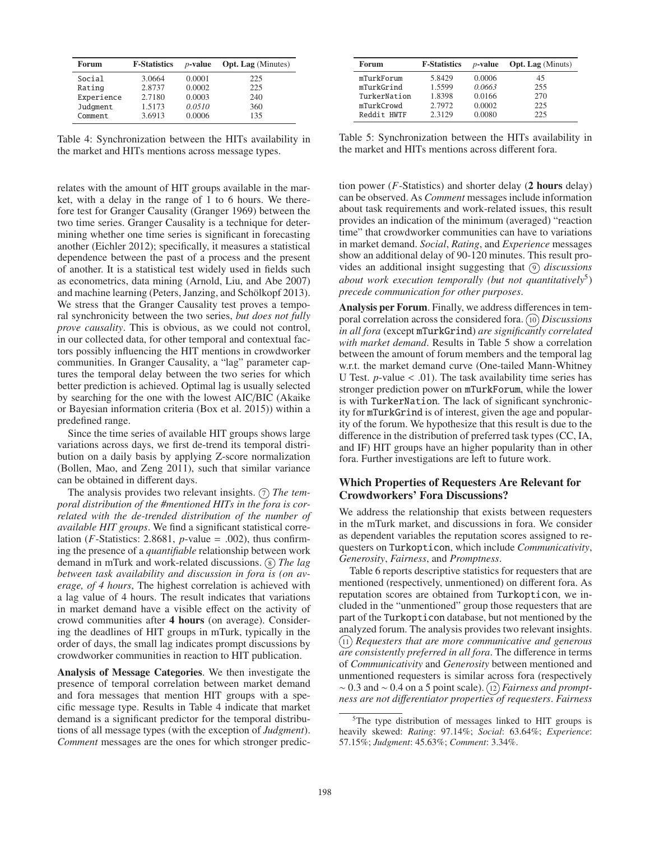| Forum      | <b>F-Statistics</b> | $p$ -value | <b>Opt. Lag</b> (Minutes) |
|------------|---------------------|------------|---------------------------|
| Social     | 3.0664              | 0.0001     | 225                       |
| Rating     | 2.8737              | 0.0002     | 225                       |
| Experience | 2.7180              | 0.0003     | 240                       |
| Judgment   | 1.5173              | 0.0510     | 360                       |
| Comment    | 3.6913              | 0.0006     | 135                       |

Table 4: Synchronization between the HITs availability in the market and HITs mentions across message types.

relates with the amount of HIT groups available in the market, with a delay in the range of 1 to 6 hours. We therefore test for Granger Causality (Granger 1969) between the two time series. Granger Causality is a technique for determining whether one time series is significant in forecasting another (Eichler 2012); specifically, it measures a statistical dependence between the past of a process and the present of another. It is a statistical test widely used in fields such as econometrics, data mining (Arnold, Liu, and Abe 2007) and machine learning (Peters, Janzing, and Schölkopf 2013). We stress that the Granger Causality test proves a temporal synchronicity between the two series, *but does not fully prove causality*. This is obvious, as we could not control, in our collected data, for other temporal and contextual factors possibly influencing the HIT mentions in crowdworker communities. In Granger Causality, a "lag" parameter captures the temporal delay between the two series for which better prediction is achieved. Optimal lag is usually selected by searching for the one with the lowest AIC/BIC (Akaike or Bayesian information criteria (Box et al. 2015)) within a predefined range.

Since the time series of available HIT groups shows large variations across days, we first de-trend its temporal distribution on a daily basis by applying Z-score normalization (Bollen, Mao, and Zeng 2011), such that similar variance can be obtained in different days.

The analysis provides two relevant insights.  $\sigma$  *The temporal distribution of the #mentioned HITs in the fora is correlated with the de-trended distribution of the number of available HIT groups*. We find a significant statistical correlation ( $F$ -Statistics: 2.8681,  $p$ -value = .002), thus confirming the presence of a *quantifiable* relationship between work demand in mTurk and work-related discussions. (8) *The lag between task availability and discussion in fora is (on average, of 4 hours*, The highest correlation is achieved with a lag value of 4 hours. The result indicates that variations in market demand have a visible effect on the activity of crowd communities after 4 hours (on average). Considering the deadlines of HIT groups in mTurk, typically in the order of days, the small lag indicates prompt discussions by crowdworker communities in reaction to HIT publication.

Analysis of Message Categories. We then investigate the presence of temporal correlation between market demand and fora messages that mention HIT groups with a specific message type. Results in Table 4 indicate that market demand is a significant predictor for the temporal distributions of all message types (with the exception of *Judgment*). *Comment* messages are the ones for which stronger predic-

| Forum        | <b>F-Statistics</b> | $p$ -value | <b>Opt. Lag</b> (Minuts) |
|--------------|---------------------|------------|--------------------------|
| mTurkForum   | 5.8429              | 0.0006     | 45                       |
| mTurkGrind   | 1.5599              | 0.0663     | 255                      |
| TurkerNation | 1.8398              | 0.0166     | 270                      |
| mTurkCrowd   | 2.7972              | 0.0002     | 225                      |
| Reddit HWTF  | 2.3129              | 0.0080     | 225                      |

Table 5: Synchronization between the HITs availability in the market and HITs mentions across different fora.

tion power (*F*-Statistics) and shorter delay (2 hours delay) can be observed. As *Comment* messages include information about task requirements and work-related issues, this result provides an indication of the minimum (averaged) "reaction time" that crowdworker communities can have to variations in market demand. *Social*, *Rating*, and *Experience* messages show an additional delay of 90-120 minutes. This result provides an additional insight suggesting that  $\circ$  *discussions about work execution temporally (but not quantitatively*5) *precede communication for other purposes*.

Analysis per Forum. Finally, we address differences in temporal correlation across the considered fora. (10) *Discussions in all fora* (except mTurkGrind) *are significantly correlated with market demand*. Results in Table 5 show a correlation between the amount of forum members and the temporal lag w.r.t. the market demand curve (One-tailed Mann-Whitney U Test.  $p$ -value  $< .01$ ). The task availability time series has stronger prediction power on mTurkForum, while the lower is with TurkerNation. The lack of significant synchronicity for mTurkGrind is of interest, given the age and popularity of the forum. We hypothesize that this result is due to the difference in the distribution of preferred task types (CC, IA, and IF) HIT groups have an higher popularity than in other fora. Further investigations are left to future work.

## Which Properties of Requesters Are Relevant for Crowdworkers' Fora Discussions?

We address the relationship that exists between requesters in the mTurk market, and discussions in fora. We consider as dependent variables the reputation scores assigned to requesters on Turkopticon, which include *Communicativity*, *Generosity*, *Fairness*, and *Promptness*.

Table 6 reports descriptive statistics for requesters that are mentioned (respectively, unmentioned) on different fora. As reputation scores are obtained from Turkopticon, we included in the "unmentioned" group those requesters that are part of the Turkopticon database, but not mentioned by the analyzed forum. The analysis provides two relevant insights. <sup>11</sup> *Requesters that are more communicative and generous are consistently preferred in all fora*. The difference in terms of *Communicativity* and *Generosity* between mentioned and unmentioned requesters is similar across fora (respectively ∼ 0.3 and ∼ 0.4 on a 5 point scale). <sup>12</sup> *Fairness and promptness are not di*ff*erentiator properties of requesters*. *Fairness*

<sup>&</sup>lt;sup>5</sup>The type distribution of messages linked to HIT groups is heavily skewed: *Rating*: 97.14%; *Social*: 63.64%; *Experience*: 57.15%; *Judgment*: 45.63%; *Comment*: 3.34%.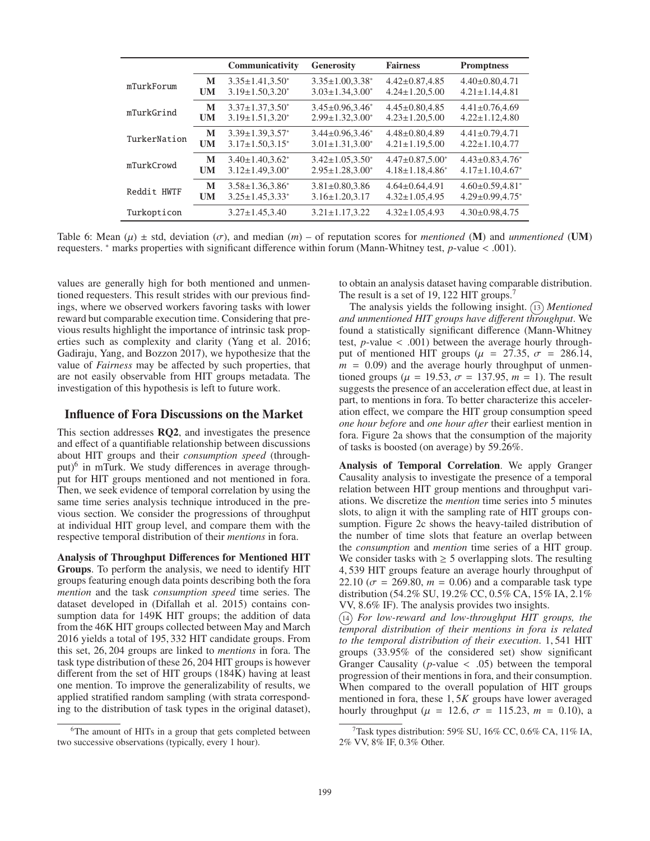|              |           | Communicativity         | <b>Generosity</b>          | <b>Fairness</b>         | <b>Promptness</b>      |
|--------------|-----------|-------------------------|----------------------------|-------------------------|------------------------|
| mTurkForum   | M         | $3.35 \pm 1.41.3.50^*$  | $3.35 \pm 1.00.3.38^*$     | $4.42 \pm 0.87, 4.85$   | $4.40 \pm 0.80.4.71$   |
|              | UM        | $3.19 \pm 1.50.3.20^*$  | $3.03 \pm 1.34.3.00^*$     | $4.24 \pm 1.20.5.00$    | $4.21 \pm 1.14.4.81$   |
| mTurkGrind   | M         | $3.37 \pm 1.37.3.50^*$  | $3.45 \pm 0.96.3.46^*$     | $4.45 \pm 0.80.4.85$    | $4.41 \pm 0.76.4.69$   |
|              | UM        | $3.19 \pm 1.51, 3.20^*$ | $2.99 \pm 1.32, 3.00^*$    | $4.23 \pm 1.20, 5.00$   | $4.22 \pm 1.12, 4.80$  |
| TurkerNation | M         | $3.39 \pm 1.39.3.57$ *  | $3.44 \pm 0.96.3.46^*$     | $4.48 \pm 0.80.4.89$    | $4.41 \pm 0.79.4.71$   |
|              | UM        | $3.17 \pm 1.50.3.15^*$  | $3.01 \pm 1.31, 3.00^*$    | $4.21 \pm 1.19, 5.00$   | $4.22 \pm 1.10, 4.77$  |
| mTurkCrowd   | M         | $3.40 \pm 1.40.3.62^*$  | $3.42 \pm 1.05$ , $3.50^*$ | $4.47 \pm 0.87.5.00*$   | $4.43 \pm 0.83.4.76$ * |
|              | <b>UM</b> | $3.12 \pm 1.49, 3.00^*$ | $2.95 \pm 1.28.3.00^*$     | $4.18 \pm 1.18, 4.86^*$ | $4.17 \pm 1.10.4.67$ * |
| Reddit HWTF  | M         | $3.58 \pm 1.36.3.86^*$  | $3.81 \pm 0.80.3.86$       | $4.64 \pm 0.64.4.91$    | $4.60 \pm 0.59.4.81*$  |
|              | <b>UM</b> | $3.25 \pm 1.45.3.33*$   | $3.16 \pm 1.20.3.17$       | $4.32 \pm 1.05.4.95$    | $4.29 \pm 0.99.4.75$ * |
| Turkopticon  |           | $3.27 \pm 1.45.3.40$    | $3.21 \pm 1.17.3.22$       | $4.32 \pm 1.05.4.93$    | $4.30 \pm 0.98.4.75$   |

Table 6: Mean  $(\mu) \pm$  std, deviation  $(\sigma)$ , and median  $(m)$  – of reputation scores for *mentioned* (**M**) and *unmentioned* (**UM**) requesters. <sup>∗</sup> marks properties with significant difference within forum (Mann-Whitney test, *p*-value < .001).

values are generally high for both mentioned and unmentioned requesters. This result strides with our previous findings, where we observed workers favoring tasks with lower reward but comparable execution time. Considering that previous results highlight the importance of intrinsic task properties such as complexity and clarity (Yang et al. 2016; Gadiraju, Yang, and Bozzon 2017), we hypothesize that the value of *Fairness* may be affected by such properties, that are not easily observable from HIT groups metadata. The investigation of this hypothesis is left to future work.

## Influence of Fora Discussions on the Market

This section addresses RQ2, and investigates the presence and effect of a quantifiable relationship between discussions about HIT groups and their *consumption speed* (throughput) $6$  in mTurk. We study differences in average throughput for HIT groups mentioned and not mentioned in fora. Then, we seek evidence of temporal correlation by using the same time series analysis technique introduced in the previous section. We consider the progressions of throughput at individual HIT group level, and compare them with the respective temporal distribution of their *mentions* in fora.

Analysis of Throughput Differences for Mentioned HIT Groups. To perform the analysis, we need to identify HIT groups featuring enough data points describing both the fora *mention* and the task *consumption speed* time series. The dataset developed in (Difallah et al. 2015) contains consumption data for 149K HIT groups; the addition of data from the 46K HIT groups collected between May and March 2016 yields a total of 195, 332 HIT candidate groups. From this set, 26, 204 groups are linked to *mentions* in fora. The task type distribution of these 26, 204 HIT groups is however different from the set of HIT groups (184K) having at least one mention. To improve the generalizability of results, we applied stratified random sampling (with strata corresponding to the distribution of task types in the original dataset),

to obtain an analysis dataset having comparable distribution. The result is a set of 19, 122 HIT groups.<sup>7</sup>

The analysis yields the following insight. (13) *Mentioned and unmentioned HIT groups have di*ff*erent throughput*. We found a statistically significant difference (Mann-Whitney test,  $p$ -value  $\lt$  .001) between the average hourly throughput of mentioned HIT groups ( $\mu$  = 27.35,  $\sigma$  = 286.14,  $m = 0.09$  and the average hourly throughput of unmentioned groups ( $\mu = 19.53$ ,  $\sigma = 137.95$ ,  $m = 1$ ). The result suggests the presence of an acceleration effect due, at least in part, to mentions in fora. To better characterize this acceleration effect, we compare the HIT group consumption speed *one hour before* and *one hour after* their earliest mention in fora. Figure 2a shows that the consumption of the majority of tasks is boosted (on average) by 59.26%.

Analysis of Temporal Correlation. We apply Granger Causality analysis to investigate the presence of a temporal relation between HIT group mentions and throughput variations. We discretize the *mention* time series into 5 minutes slots, to align it with the sampling rate of HIT groups consumption. Figure 2c shows the heavy-tailed distribution of the number of time slots that feature an overlap between the *consumption* and *mention* time series of a HIT group. We consider tasks with  $\geq$  5 overlapping slots. The resulting 4, 539 HIT groups feature an average hourly throughput of 22.10 ( $\sigma$  = 269.80,  $m$  = 0.06) and a comparable task type distribution (54.2% SU, 19.2% CC, 0.5% CA, 15% IA, 2.1% VV, 8.6% IF). The analysis provides two insights.

<sup>14</sup> *For low-reward and low-throughput HIT groups, the temporal distribution of their mentions in fora is related to the temporal distribution of their execution*. 1, 541 HIT groups (33.95% of the considered set) show significant Granger Causality ( $p$ -value  $\langle$  .05) between the temporal progression of their mentions in fora, and their consumption. When compared to the overall population of HIT groups mentioned in fora, these 1, 5*K* groups have lower averaged hourly throughput ( $\mu$  = 12.6,  $\sigma$  = 115.23,  $m$  = 0.10), a

<sup>&</sup>lt;sup>6</sup>The amount of HITs in a group that gets completed between two successive observations (typically, every 1 hour).

<sup>&</sup>lt;sup>7</sup>Task types distribution: 59% SU, 16% CC, 0.6% CA, 11% IA, 2% VV, 8% IF, 0.3% Other.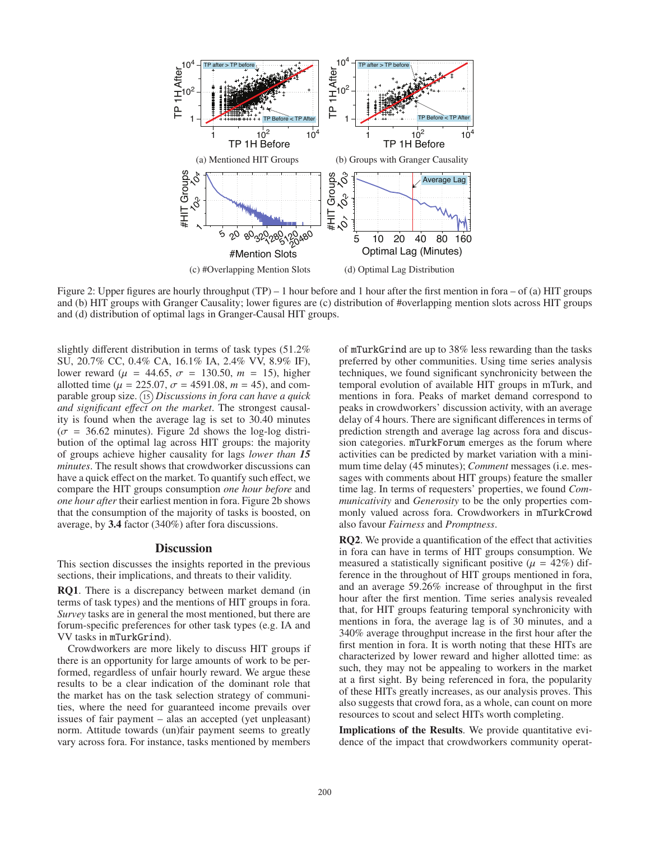

Figure 2: Upper figures are hourly throughput (TP) – 1 hour before and 1 hour after the first mention in fora – of (a) HIT groups and (b) HIT groups with Granger Causality; lower figures are (c) distribution of #overlapping mention slots across HIT groups and (d) distribution of optimal lags in Granger-Causal HIT groups.

slightly different distribution in terms of task types (51.2% SU, 20.7% CC, 0.4% CA, 16.1% IA, 2.4% VV, 8.9% IF), lower reward ( $\mu$  = 44.65,  $\sigma$  = 130.50,  $m$  = 15), higher allotted time ( $\mu = 225.07$ ,  $\sigma = 4591.08$ ,  $m = 45$ ), and comparable group size. <sup>15</sup> *Discussions in fora can have a quick and significant e*ff*ect on the market*. The strongest causality is found when the average lag is set to 30.40 minutes  $(\sigma = 36.62 \text{ minutes})$ . Figure 2d shows the log-log distribution of the optimal lag across HIT groups: the majority of groups achieve higher causality for lags *lower than 15 minutes*. The result shows that crowdworker discussions can have a quick effect on the market. To quantify such effect, we compare the HIT groups consumption *one hour before* and *one hour after* their earliest mention in fora. Figure 2b shows that the consumption of the majority of tasks is boosted, on average, by 3.4 factor (340%) after fora discussions.

#### **Discussion**

This section discusses the insights reported in the previous sections, their implications, and threats to their validity.

RQ1. There is a discrepancy between market demand (in terms of task types) and the mentions of HIT groups in fora. *Survey* tasks are in general the most mentioned, but there are forum-specific preferences for other task types (e.g. IA and VV tasks in mTurkGrind).

Crowdworkers are more likely to discuss HIT groups if there is an opportunity for large amounts of work to be performed, regardless of unfair hourly reward. We argue these results to be a clear indication of the dominant role that the market has on the task selection strategy of communities, where the need for guaranteed income prevails over issues of fair payment – alas an accepted (yet unpleasant) norm. Attitude towards (un)fair payment seems to greatly vary across fora. For instance, tasks mentioned by members of mTurkGrind are up to 38% less rewarding than the tasks preferred by other communities. Using time series analysis techniques, we found significant synchronicity between the temporal evolution of available HIT groups in mTurk, and mentions in fora. Peaks of market demand correspond to peaks in crowdworkers' discussion activity, with an average delay of 4 hours. There are significant differences in terms of prediction strength and average lag across fora and discussion categories. mTurkForum emerges as the forum where activities can be predicted by market variation with a minimum time delay (45 minutes); *Comment* messages (i.e. messages with comments about HIT groups) feature the smaller time lag. In terms of requesters' properties, we found *Communicativity* and *Generosity* to be the only properties commonly valued across fora. Crowdworkers in mTurkCrowd also favour *Fairness* and *Promptness*.

RQ2. We provide a quantification of the effect that activities in fora can have in terms of HIT groups consumption. We measured a statistically significant positive ( $\mu = 42\%$ ) difference in the throughout of HIT groups mentioned in fora, and an average 59.26% increase of throughput in the first hour after the first mention. Time series analysis revealed that, for HIT groups featuring temporal synchronicity with mentions in fora, the average lag is of 30 minutes, and a 340% average throughput increase in the first hour after the first mention in fora. It is worth noting that these HITs are characterized by lower reward and higher allotted time: as such, they may not be appealing to workers in the market at a first sight. By being referenced in fora, the popularity of these HITs greatly increases, as our analysis proves. This also suggests that crowd fora, as a whole, can count on more resources to scout and select HITs worth completing.

Implications of the Results. We provide quantitative evidence of the impact that crowdworkers community operat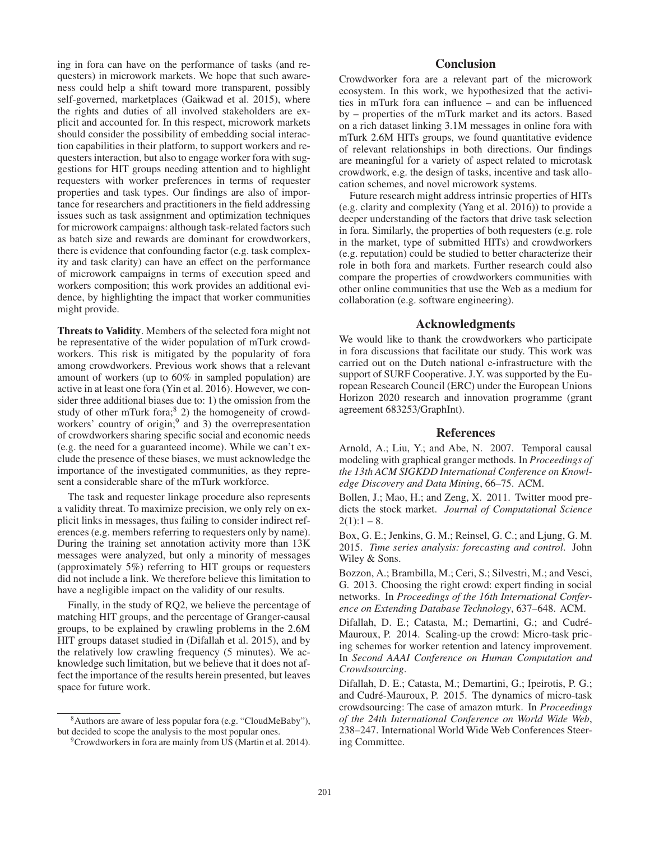ing in fora can have on the performance of tasks (and requesters) in microwork markets. We hope that such awareness could help a shift toward more transparent, possibly self-governed, marketplaces (Gaikwad et al. 2015), where the rights and duties of all involved stakeholders are explicit and accounted for. In this respect, microwork markets should consider the possibility of embedding social interaction capabilities in their platform, to support workers and requesters interaction, but also to engage worker fora with suggestions for HIT groups needing attention and to highlight requesters with worker preferences in terms of requester properties and task types. Our findings are also of importance for researchers and practitioners in the field addressing issues such as task assignment and optimization techniques for microwork campaigns: although task-related factors such as batch size and rewards are dominant for crowdworkers, there is evidence that confounding factor (e.g. task complexity and task clarity) can have an effect on the performance of microwork campaigns in terms of execution speed and workers composition; this work provides an additional evidence, by highlighting the impact that worker communities might provide.

Threats to Validity. Members of the selected fora might not be representative of the wider population of mTurk crowdworkers. This risk is mitigated by the popularity of fora among crowdworkers. Previous work shows that a relevant amount of workers (up to 60% in sampled population) are active in at least one fora (Yin et al. 2016). However, we consider three additional biases due to: 1) the omission from the study of other mTurk fora; $8$  2) the homogeneity of crowdworkers' country of origin; $9$  and 3) the overrepresentation of crowdworkers sharing specific social and economic needs (e.g. the need for a guaranteed income). While we can't exclude the presence of these biases, we must acknowledge the importance of the investigated communities, as they represent a considerable share of the mTurk workforce.

The task and requester linkage procedure also represents a validity threat. To maximize precision, we only rely on explicit links in messages, thus failing to consider indirect references (e.g. members referring to requesters only by name). During the training set annotation activity more than 13K messages were analyzed, but only a minority of messages (approximately 5%) referring to HIT groups or requesters did not include a link. We therefore believe this limitation to have a negligible impact on the validity of our results.

Finally, in the study of RQ2, we believe the percentage of matching HIT groups, and the percentage of Granger-causal groups, to be explained by crawling problems in the 2.6M HIT groups dataset studied in (Difallah et al. 2015), and by the relatively low crawling frequency (5 minutes). We acknowledge such limitation, but we believe that it does not affect the importance of the results herein presented, but leaves space for future work.

# **Conclusion**

Crowdworker fora are a relevant part of the microwork ecosystem. In this work, we hypothesized that the activities in mTurk fora can influence – and can be influenced by – properties of the mTurk market and its actors. Based on a rich dataset linking 3.1M messages in online fora with mTurk 2.6M HITs groups, we found quantitative evidence of relevant relationships in both directions. Our findings are meaningful for a variety of aspect related to microtask crowdwork, e.g. the design of tasks, incentive and task allocation schemes, and novel microwork systems.

Future research might address intrinsic properties of HITs (e.g. clarity and complexity (Yang et al. 2016)) to provide a deeper understanding of the factors that drive task selection in fora. Similarly, the properties of both requesters (e.g. role in the market, type of submitted HITs) and crowdworkers (e.g. reputation) could be studied to better characterize their role in both fora and markets. Further research could also compare the properties of crowdworkers communities with other online communities that use the Web as a medium for collaboration (e.g. software engineering).

# Acknowledgments

We would like to thank the crowdworkers who participate in fora discussions that facilitate our study. This work was carried out on the Dutch national e-infrastructure with the support of SURF Cooperative. J.Y. was supported by the European Research Council (ERC) under the European Unions Horizon 2020 research and innovation programme (grant agreement 683253/GraphInt).

## References

Arnold, A.; Liu, Y.; and Abe, N. 2007. Temporal causal modeling with graphical granger methods. In *Proceedings of the 13th ACM SIGKDD International Conference on Knowledge Discovery and Data Mining*, 66–75. ACM.

Bollen, J.; Mao, H.; and Zeng, X. 2011. Twitter mood predicts the stock market. *Journal of Computational Science*  $2(1):1 - 8.$ 

Box, G. E.; Jenkins, G. M.; Reinsel, G. C.; and Ljung, G. M. 2015. *Time series analysis: forecasting and control*. John Wiley & Sons.

Bozzon, A.; Brambilla, M.; Ceri, S.; Silvestri, M.; and Vesci, G. 2013. Choosing the right crowd: expert finding in social networks. In *Proceedings of the 16th International Conference on Extending Database Technology*, 637–648. ACM.

Difallah, D. E.; Catasta, M.; Demartini, G.; and Cudré-Mauroux, P. 2014. Scaling-up the crowd: Micro-task pricing schemes for worker retention and latency improvement. In *Second AAAI Conference on Human Computation and Crowdsourcing*.

Difallah, D. E.; Catasta, M.; Demartini, G.; Ipeirotis, P. G.; and Cudré-Mauroux, P. 2015. The dynamics of micro-task crowdsourcing: The case of amazon mturk. In *Proceedings of the 24th International Conference on World Wide Web*, 238–247. International World Wide Web Conferences Steering Committee.

<sup>8</sup>Authors are aware of less popular fora (e.g. "CloudMeBaby"), but decided to scope the analysis to the most popular ones.

<sup>&</sup>lt;sup>9</sup>Crowdworkers in fora are mainly from US (Martin et al. 2014).